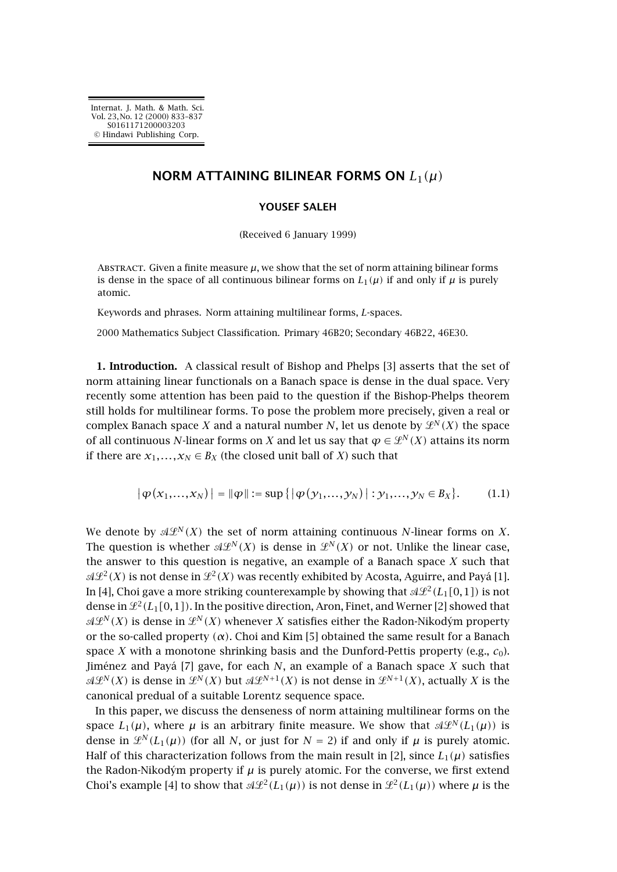## **NORM ATTAINING BILINEAR FORMS ON** *L*1*(µ)*

## **YOUSEF SALEH**

(Received 6 January 1999)

ABSTRACT. Given a finite measure  $\mu$ , we show that the set of norm attaining bilinear forms is dense in the space of all continuous bilinear forms on  $L_1(\mu)$  if and only if  $\mu$  is purely atomic.

Keywords and phrases. Norm attaining multilinear forms, *L*-spaces.

2000 Mathematics Subject Classification. Primary 46B20; Secondary 46B22, 46E30.

**1. Introduction.** A classical result of Bishop and Phelps [\[3\]](#page-3-0) asserts that the set of norm attaining linear functionals on a Banach space is dense in the dual space. Very recently some attention has been paid to the question if the Bishop-Phelps theorem still holds for multilinear forms. To pose the problem more precisely, given a real or complex Banach space *X* and a natural number *N*, let us denote by  $\mathcal{L}^{N}(X)$  the space of all continuous *N*-linear forms on *X* and let us say that  $\varphi \in \mathcal{L}^N(X)$  attains its norm if there are  $x_1, \ldots, x_N \in B_X$  (the closed unit ball of *X*) such that

$$
|\varphi(x_1,...,x_N)| = ||\varphi|| := \sup\{|\varphi(y_1,...,y_N)| : y_1,...,y_N \in B_X\}.
$$
 (1.1)

We denote by  $\mathcal{A}\mathcal{L}^N(X)$  the set of norm attaining continuous N-linear forms on X. The question is whether  $\mathcal{A}\mathcal{L}^{N}(X)$  is dense in  $\mathcal{L}^{N}(X)$  or not. Unlike the linear case, the answer to this question is negative, an example of a Banach space *X* such that  $\mathcal{A}\mathcal{L}^{2}(X)$  is not dense in  $\mathcal{L}^{2}(X)$  was recently exhibited by Acosta, Aguirre, and Payá [\[1\]](#page-3-0). In [\[4\]](#page-3-0), Choi gave a more striking counterexample by showing that  $\mathcal{A}\mathcal{L}^2(L_1[0,1])$  is not dense in  $\mathcal{L}^2(L_1[0,1])$ . In the positive direction, Aron, Finet, and Werner [\[2\]](#page-3-0) showed that  $\mathscr{A}\!\mathscr{L}^N(X)$  is dense in  $\mathscr{L}^N(X)$  whenever  $X$  satisfies either the Radon-Nikodým property or the so-called property *(α)*. Choi and Kim [\[5\]](#page-3-0) obtained the same result for a Banach space *X* with a monotone shrinking basis and the Dunford-Pettis property (e.g.,  $c_0$ ). Jiménez andPayá [\[7\]](#page-4-0) gave, for each *N*, an example of a Banach space *X* such that  $\mathscr{A}\mathscr{L}^N(X)$  is dense in  $\mathscr{L}^N(X)$  but  $\mathscr{A}\mathscr{L}^{N+1}(X)$  is not dense in  $\mathscr{L}^{N+1}(X)$ , actually  $X$  is the canonical predual of a suitable Lorentz sequence space.

In this paper, we discuss the denseness of norm attaining multilinear forms on the space  $L_1(\mu)$ , where  $\mu$  is an arbitrary finite measure. We show that  $\mathcal{A}\mathcal{L}^N(L_1(\mu))$  is dense in  $\mathcal{L}^N(L_1(\mu))$  (for all *N*, or just for  $N = 2$ ) if and only if  $\mu$  is purely atomic. Half of this characterization follows from the main result in [\[2\]](#page-3-0), since  $L_1(\mu)$  satisfies the Radon-Nikodým property if  $\mu$  is purely atomic. For the converse, we first extend Choi's example [\[4\]](#page-3-0) to show that  $\mathcal{A}\mathcal{L}^2(L_1(\mu))$  is not dense in  $\mathcal{L}^2(L_1(\mu))$  where  $\mu$  is the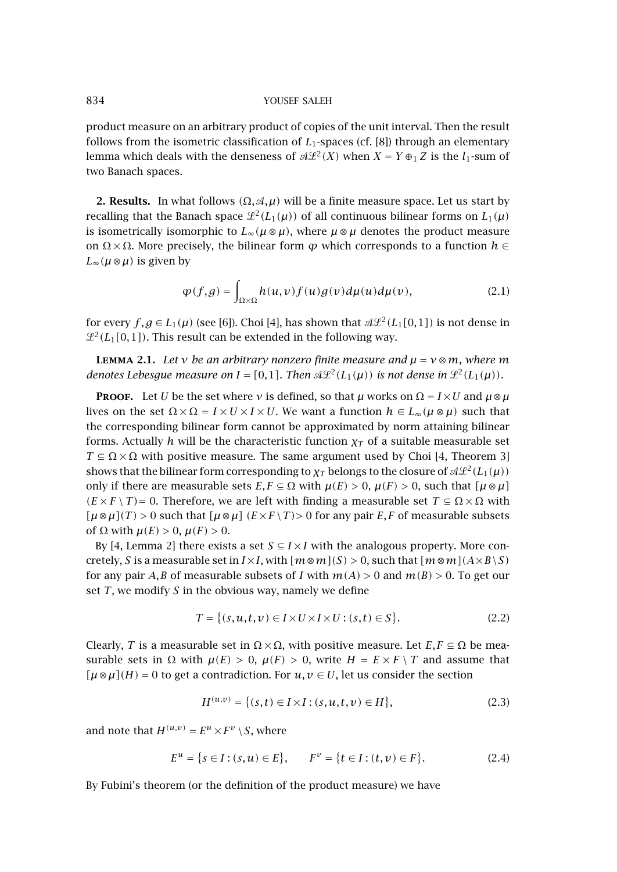## <span id="page-1-0"></span>834 YOUSEF SALEH

product measure on an arbitrary product of copies of the unit interval. Then the result follows from the isometric classification of  $L_1$ -spaces (cf. [\[8\]](#page-4-0)) through an elementary lemma which deals with the denseness of  $\mathcal{A}\mathcal{L}^2(X)$  when  $X = Y \oplus_1 Z$  is the  $l_1$ -sum of two Banach spaces.

**2. Results.** In what follows *(*Ω*,*-*,µ)* will be a finite measure space. Let us start by recalling that the Banach space  $\mathcal{L}^2(L_1(\mu))$  of all continuous bilinear forms on  $L_1(\mu)$ is isometrically isomorphic to  $L_{\infty}(\mu \otimes \mu)$ , where  $\mu \otimes \mu$  denotes the product measure on  $\Omega \times \Omega$ . More precisely, the bilinear form  $\varphi$  which corresponds to a function  $h \in$  $L_∞(μ ⊗ μ)$  is given by

$$
\varphi(f,g) = \int_{\Omega \times \Omega} h(u,v) f(u)g(v) d\mu(u) d\mu(v), \qquad (2.1)
$$

for every  $f, g \in L_1(\mu)$  (see [\[6\]](#page-4-0)). Choi [\[4\]](#page-3-0), has shown that  $\mathcal{A}\mathcal{L}^2(L_1[0,1])$  is not dense in  $\mathcal{L}^2(L_1[0,1])$ . This result can be extended in the following way.

**LEMMA** 2.1. Let *v* be an arbitrary nonzero finite measure and  $\mu = v \otimes m$ , where m *denotes Lebesgue measure on*  $I = [0,1]$ *. Then*  $\mathcal{A}\mathcal{L}^2(L_1(\mu))$  *is not dense in*  $\mathcal{L}^2(L_1(\mu))$ *.* 

**PROOF.** Let *U* be the set where *ν* is defined, so that *µ* works on  $\Omega = I \times U$  and  $\mu \otimes \mu$ lives on the set Ω × Ω = *I* × *U* × *I* × *U*. We want a function *h* ∈ *L*∞*(µ* ⊗ *µ)* such that the corresponding bilinear form cannot be approximated by norm attaining bilinear forms. Actually *h* will be the characteristic function  $\chi_T$  of a suitable measurable set  $T \subseteq \Omega \times \Omega$  with positive measure. The same argument used by Choi [\[4,](#page-3-0) Theorem 3] shows that the bilinear form corresponding to  $\chi_T$  belongs to the closure of  $\mathcal{A}\mathcal{L}^2(L_1(\mu))$ only if there are measurable sets  $E, F \subseteq \Omega$  with  $\mu(E) > 0$ ,  $\mu(F) > 0$ , such that  $\mu \otimes \mu$  $(E \times F \setminus T) = 0$ . Therefore, we are left with finding a measurable set  $T \subseteq \Omega \times \Omega$  with  $[\mu \otimes \mu](T) > 0$  such that  $[\mu \otimes \mu](E \times F \setminus T) > 0$  for any pair *E*, *F* of measurable subsets of  $\Omega$  with  $\mu(E) > 0$ ,  $\mu(F) > 0$ .

By [\[4,](#page-3-0) Lemma 2] there exists a set  $S \subseteq I \times I$  with the analogous property. More concretely, *S* is a measurable set in  $I \times I$ , with  $[m \otimes m](S) > 0$ , such that  $[m \otimes m](A \times B \setminus S)$ for any pair *A,B* of measurable subsets of *I* with  $m(A) > 0$  and  $m(B) > 0$ . To get our set *T*, we modify *S* in the obvious way, namely we define

$$
T = \{(s, u, t, v) \in I \times U \times I \times U : (s, t) \in S\}.
$$
\n
$$
(2.2)
$$

Clearly, *T* is a measurable set in  $\Omega \times \Omega$ , with positive measure. Let  $E, F \subseteq \Omega$  be measurable sets in  $\Omega$  with  $\mu(E) > 0$ ,  $\mu(F) > 0$ , write  $H = E \times F \setminus T$  and assume that  $[\mu \otimes \mu](H) = 0$  to get a contradiction. For  $u, v \in U$ , let us consider the section

$$
H^{(u,v)} = \{(s,t) \in I \times I : (s,u,t,v) \in H\},\tag{2.3}
$$

and note that  $H^{(u,v)} = E^u \times F^v \setminus S$ , where

$$
E^{u} = \{s \in I : (s, u) \in E\}, \qquad F^{v} = \{t \in I : (t, v) \in F\}.
$$
 (2.4)

By Fubini's theorem (or the definition of the product measure) we have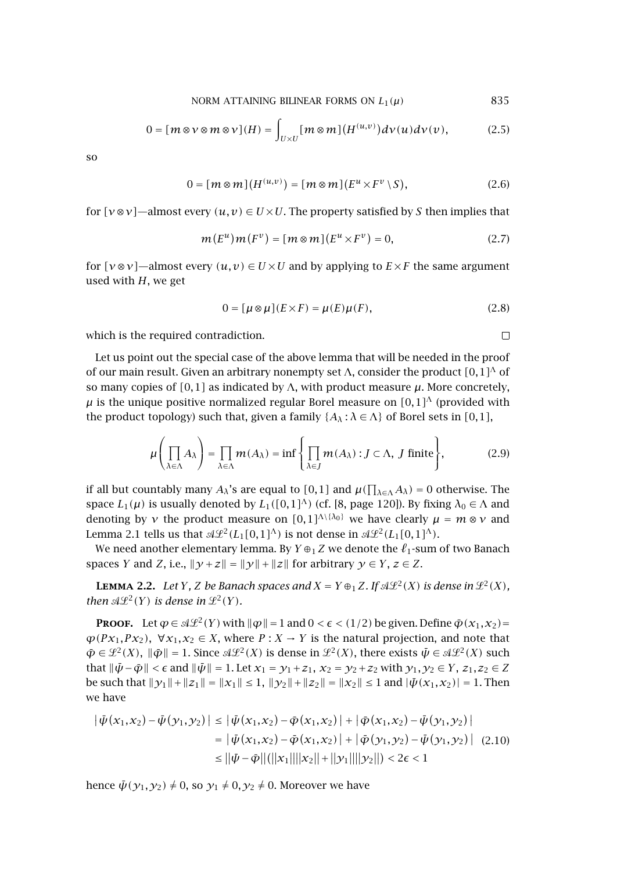$$
0 = [m \otimes v \otimes m \otimes v](H) = \int_{U \times U} [m \otimes m](H^{(u,v)}) dv(u) dv(v), \tag{2.5}
$$

<span id="page-2-0"></span>so

$$
0 = [m \otimes m](H^{(u,v)}) = [m \otimes m](E^u \times F^v \setminus S), \tag{2.6}
$$

for  $[\nu \otimes \nu]$ —almost every  $(u, v) \in U \times U$ . The property satisfied by *S* then implies that

$$
m(E^u)m(F^v) = [m \otimes m](E^u \times F^v) = 0,
$$
\n
$$
(2.7)
$$

for  $[\nu \otimes \nu]$ —almost every  $(u, v) \in U \times U$  and by applying to  $E \times F$  the same argument used with  $H$ , we get

$$
0 = [\mu \otimes \mu](E \times F) = \mu(E)\mu(F), \qquad (2.8)
$$

 $\Box$ 

which is the required contradiction.

Let us point out the special case of the above lemma that will be needed in the proof of our main result. Given an arbitrary nonempty set Λ, consider the product *[*0*,*1*]*<sup>Λ</sup> of so many copies of  $[0,1]$  as indicated by Λ, with product measure  $\mu$ . More concretely,  $\mu$  is the unique positive normalized regular Borel measure on  $[0,1]$ <sup> $\Lambda$ </sup> (provided with the product topology) such that, given a family  ${A_\lambda : \lambda \in \Lambda}$  of Borel sets in [0,1],

$$
\mu\left(\prod_{\lambda \in \Lambda} A_{\lambda}\right) = \prod_{\lambda \in \Lambda} m(A_{\lambda}) = \inf \left\{\prod_{\lambda \in J} m(A_{\lambda}) : J \subset \Lambda, J \text{ finite}\right\},\tag{2.9}
$$

if all but countably many  $A_\lambda$ 's are equal to [0,1] and  $\mu(\prod_{\lambda\in\Lambda}A_\lambda)=0$  otherwise. The space  $L_1(\mu)$  is usually denoted by  $L_1([0,1]^{\Lambda})$  (cf. [\[8,](#page-4-0) page 120]). By fixing  $\lambda_0 \in \Lambda$  and denoting by *ν* the product measure on  $[0,1]^{A\setminus\{0\}}$  we have clearly  $\mu = m \otimes \nu$  and [Lemma 2.1](#page-1-0) tells us that  $\mathcal{A}\mathcal{L}^2(L_1[0,1]^{\Lambda})$  is not dense in  $\mathcal{A}\mathcal{L}^2(L_1[0,1]^{\Lambda})$ .

We need another elementary lemma. By  $Y \oplus_1 Z$  we denote the  $\ell_1$ -sum of two Banach spaces *Y* and *Z*, i.e.,  $\|\mathcal{Y} + \mathcal{Z}\| = \|\mathcal{Y}\| + \|\mathcal{Z}\|$  for arbitrary  $\mathcal{Y} \in Y$ ,  $\mathcal{Z} \in Z$ .

**LEMMA 2.2.** Let *Y*, *Z* be Banach spaces and  $X = Y \oplus_1 Z$ . If  $\mathcal{A}\mathcal{L}^2(X)$  is dense in  $\mathcal{L}^2(X)$ , *then*  $\mathcal{A}\mathcal{L}^2(Y)$  *is dense in*  $\mathcal{L}^2(Y)$ *.* 

**PROOF.** Let  $\varphi \in \mathcal{A}\mathcal{L}^2(Y)$  with  $\|\varphi\| = 1$  and  $0 < \epsilon < (1/2)$  be given. Define  $\tilde{\varphi}(x_1, x_2) =$  $\varphi$ (*Px*<sub>1</sub>*,Px*<sub>2</sub>), ∀*x*<sub>1</sub>*,x*<sub>2</sub> ∈ *X*, where *P* : *X* → *Y* is the natural projection, and note that  $\tilde{\varphi} \in \mathcal{L}^2(X)$ ,  $\|\tilde{\varphi}\| = 1$ . Since  $\mathcal{A}\mathcal{L}^2(X)$  is dense in  $\mathcal{L}^2(X)$ , there exists  $\tilde{\psi} \in \mathcal{A}\mathcal{L}^2(X)$  such that  $\|\bar{\psi} - \bar{\phi}\| < \epsilon$  and  $\|\bar{\psi}\| = 1$ . Let  $x_1 = y_1 + z_1$ ,  $x_2 = y_2 + z_2$  with  $y_1, y_2 \in Y$ ,  $z_1, z_2 \in Z$ be such that  $||y_1|| + ||z_1|| = ||x_1|| \le 1$ ,  $||y_2|| + ||z_2|| = ||x_2|| \le 1$  and  $|\bar{\psi}(x_1, x_2)| = 1$ . Then we have

$$
\begin{aligned} \left| \bar{\psi}(x_1, x_2) - \bar{\psi}(y_1, y_2) \right| &\leq \left| \bar{\psi}(x_1, x_2) - \bar{\phi}(x_1, x_2) \right| + \left| \bar{\phi}(x_1, x_2) - \bar{\psi}(y_1, y_2) \right| \\ &= \left| \bar{\psi}(x_1, x_2) - \bar{\phi}(x_1, x_2) \right| + \left| \bar{\phi}(y_1, y_2) - \bar{\psi}(y_1, y_2) \right| \tag{2.10} \\ &\leq \left| \left| \bar{\psi} - \bar{\phi} \right| \right| \left( \left| \left| x_1 \right| \right| \left| \left| x_2 \right| \right| + \left| \left| y_1 \right| \right| \left| \left| y_2 \right| \right| \right) < 2\epsilon < 1 \end{aligned}
$$

hence  $\bar{\psi}(\gamma_1,\gamma_2) \neq 0$ , so  $\gamma_1 \neq 0, \gamma_2 \neq 0$ . Moreover we have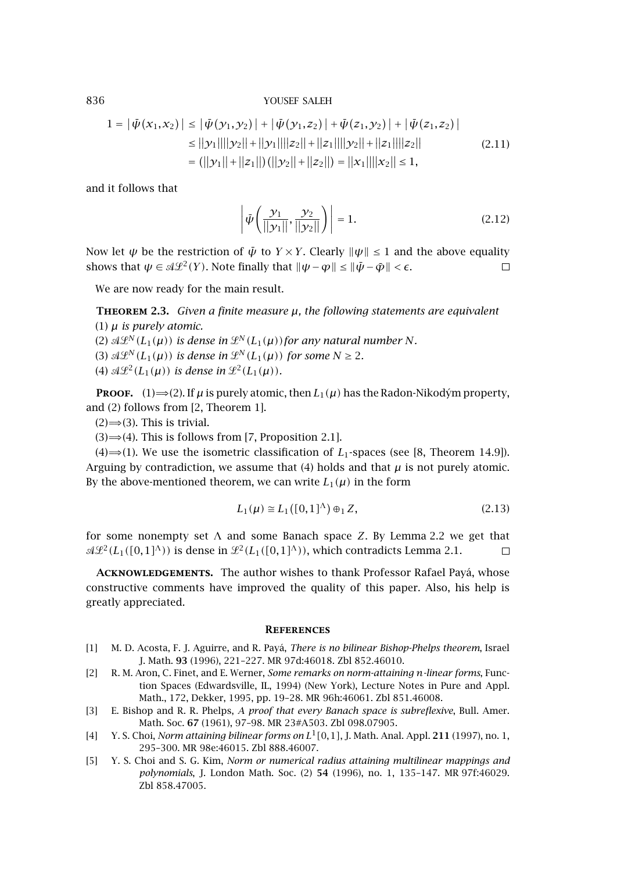<span id="page-3-0"></span>836 YOUSEF SALEH

$$
1 = |\bar{\psi}(x_1, x_2)| \le |\bar{\psi}(y_1, y_2)| + |\bar{\psi}(y_1, z_2)| + |\bar{\psi}(z_1, y_2)| + |\bar{\psi}(z_1, z_2)|
$$
  
\n
$$
\le ||y_1|| ||y_2|| + ||y_1|| ||z_2|| + ||z_1|| ||y_2|| + ||z_1|| ||z_2||
$$
  
\n
$$
= (||y_1|| + ||z_1||) (||y_2|| + ||z_2||) = ||x_1|| ||x_2|| \le 1,
$$
\n(2.11)

and it follows that

$$
\left| \bar{\psi} \left( \frac{y_1}{\| y_1 \|}, \frac{y_2}{\| y_2 \|} \right) \right| = 1.
$$
 (2.12)

Now let  $\psi$  be the restriction of  $\bar{\psi}$  to  $Y \times Y$ . Clearly  $\|\psi\| \leq 1$  and the above equality shows that  $\psi \in \mathcal{A}\mathcal{L}^2(Y)$ . Note finally that  $\|\psi - \varphi\| \le \|\bar{\psi} - \bar{\varphi}\| < \epsilon$ .  $\Box$ 

We are now ready for the main result.

**Theorem 2.3.** *Given a finite measure µ, the following statements are equivalent* (1) *µ is purely atomic.*

(2)  $\mathcal{A}\mathcal{L}^N(L_1(\mu))$  is dense in  $\mathcal{L}^N(L_1(\mu))$  for any natural number N.

(3)  $\mathcal{A}\mathcal{L}^N(L_1(\mu))$  is dense in  $\mathcal{L}^N(L_1(\mu))$  for some  $N \geq 2$ .

(4)  $\mathcal{A}\mathcal{L}^2(L_1(\mu))$  is dense in  $\mathcal{L}^2(L_1(\mu))$ *.* 

**PROOF.** (1)  $\Rightarrow$  (2). If  $\mu$  is purely atomic, then  $L_1(\mu)$  has the Radon-Nikodým property, and(2) follows from [2, Theorem 1].

 $(2) \implies (3)$ . This is trivial.

 $(3) \Rightarrow (4)$ . This is follows from [\[7,](#page-4-0) Proposition 2.1].

 $(4) \Rightarrow (1)$ . We use the isometric classification of *L*<sub>1</sub>-spaces (see [\[8,](#page-4-0) Theorem 14.9]). Arguing by contradiction, we assume that  $(4)$  holds and that  $\mu$  is not purely atomic. By the above-mentioned theorem, we can write  $L_1(\mu)$  in the form

$$
L_1(\mu) \cong L_1([0,1]^\Lambda) \oplus_1 Z,\tag{2.13}
$$

for some nonempty set  $\Lambda$  and some Banach space *Z*. By [Lemma 2.2](#page-2-0) we get that  $\mathcal{A}\mathcal{L}^2(L_1([0,1]^{\Lambda}))$  is dense in  $\mathcal{L}^2(L_1([0,1]^{\Lambda}))$ , which contradicts [Lemma 2.1.](#page-1-0)  $\Box$ 

**Acknowledgements.** The author wishes to thank Professor Rafael Payá, whose constructive comments have improved the quality of this paper. Also, his help is greatly appreciated.

## **References**

- [1] M. D. Acosta, F. J. Aguirre, and R. Payá, *There is no bilinear Bishop-Phelps theorem*, Israel J. Math. **93** (1996), 221–227. [MR 97d:46018.](http://www.ams.org/mathscinet-getitem?mr=97d:46018) [Zbl 852.46010.](http://www.emis.de/cgi-bin/MATH-item?852.46010)
- [2] R. M. Aron, C. Finet, andE. Werner, *Some remarks on norm-attaining n-linear forms*, Function Spaces (Edwardsville, IL, 1994) (New York), Lecture Notes in Pure and Appl. Math., 172, Dekker, 1995, pp. 19–28. [MR 96h:46061.](http://www.ams.org/mathscinet-getitem?mr=96h:46061) [Zbl 851.46008.](http://www.emis.de/cgi-bin/MATH-item?851.46008)
- [3] E. Bishop and R. R. Phelps, *A proof that every Banach space is subreflexive*, Bull. Amer. Math. Soc. **67** (1961), 97–98. [MR 23#A503.](http://www.ams.org/mathscinet-getitem?mr=23:A503) [Zbl 098.07905.](http://www.emis.de/cgi-bin/MATH-item?098.07905)
- [4] Y. S. Choi, *Norm attaining bilinear forms on L*1*[*0*,*1*]*, J. Math. Anal. Appl. **211** (1997), no. 1, 295–300. [MR 98e:46015.](http://www.ams.org/mathscinet-getitem?mr=98e:46015) [Zbl 888.46007.](http://www.emis.de/cgi-bin/MATH-item?888.46007)
- [5] Y. S. Choi and S. G. Kim, *Norm or numerical radius attaining multilinear mappings and polynomials*, J. London Math. Soc. (2) **54** (1996), no. 1, 135–147. [MR 97f:46029.](http://www.ams.org/mathscinet-getitem?mr=97f:46029) [Zbl 858.47005.](http://www.emis.de/cgi-bin/MATH-item?858.47005)